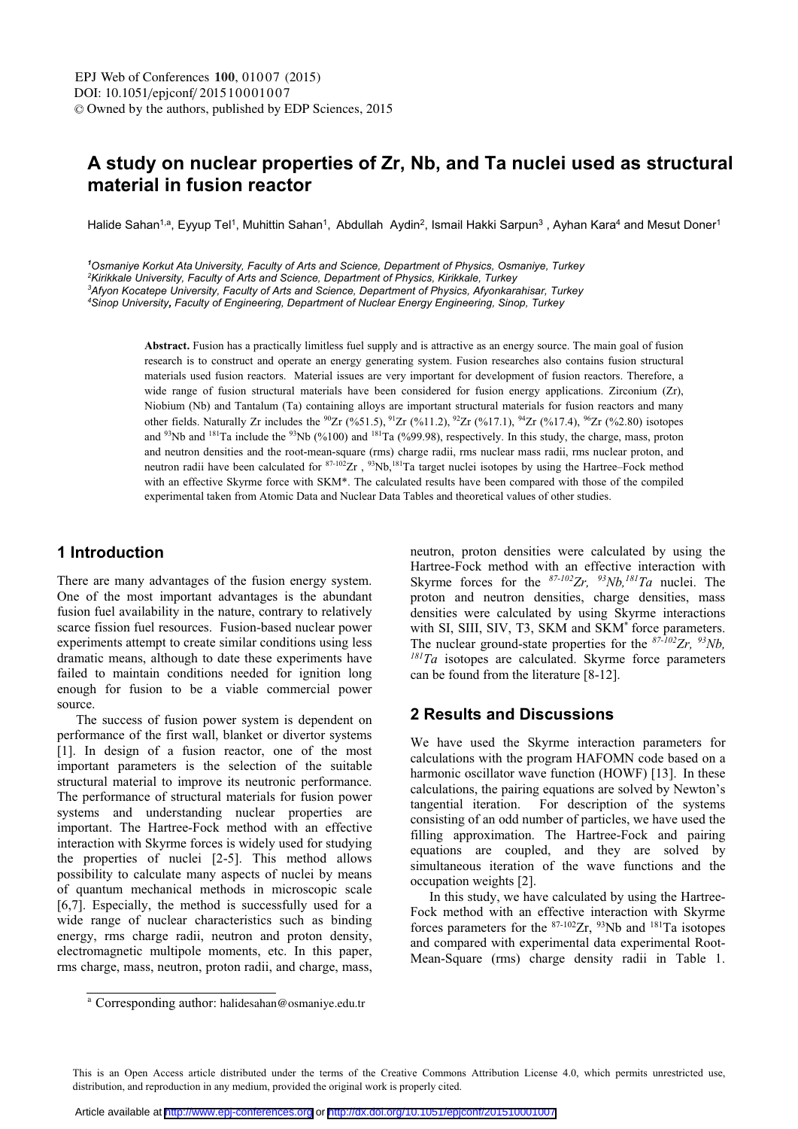# A study on nuclear properties of Zr. Nb. and Ta nuclei used as structural material in fusion reactor

Halide Sahan<sup>1,a</sup>. Evvup Tel<sup>1</sup>, Muhittin Sahan<sup>1</sup>, Abdullah Avdin<sup>2</sup>, Ismail Hakki Sarpun<sup>3</sup>, Avhan Kara<sup>4</sup> and Mesut Doner<sup>1</sup>

*1 Osmaniye Korkut Ata University, Faculty of Arts and Science, Department of Physics, Osmaniye, Turkey*

*2 Kirikkale University, Faculty of Arts and Science, Department of Physics, Kirikkale, Turkey* 

*3 Afyon Kocatepe University, Faculty of Arts and Science, Department of Physics, Afyonkarahisar, Turkey* 

*4 Sinop University, Faculty of Engineering, Department of Nuclear Energy Engineering, Sinop, Turkey*

**Abstract.** Fusion has a practically limitless fuel supply and is attractive as an energy source. The main goal of fusion research is to construct and operate an energy generating system. Fusion researches also contains fusion structural materials used fusion reactors. Material issues are very important for development of fusion reactors. Therefore, a wide range of fusion structural materials have been considered for fusion energy applications. Zirconium (Zr), Niobium (Nb) and Tantalum (Ta) containing alloys are important structural materials for fusion reactors and many other fields. Naturally Zr includes the <sup>90</sup>Zr (%51.5), <sup>91</sup>Zr (%11.2), <sup>92</sup>Zr (%17.1), <sup>94</sup>Zr (%17.4), <sup>96</sup>Zr (%2.80) isotopes and  $^{93}$ Nb and  $^{181}$ Ta include the  $^{93}$ Nb (%100) and  $^{181}$ Ta (%99.98), respectively. In this study, the charge, mass, proton and neutron densities and the root-mean-square (rms) charge radii, rms nuclear mass radii, rms nuclear proton, and neutron radii have been calculated for  $87-102Zr$ ,  $83\times10^{181}$ Ta target nuclei isotones by using the Hartree–Fock method with an effective Skyrme force with SKM<sup>\*</sup>. The calculated results have been compared with those of the compiled experimental taken from Atomic Data and Nuclear Data Tables and theoretical values of other studies.

#### 1 Introduction

There are many advantages of the fusion energy system. One of the most important advantages is the abundant fusion fuel availability in the nature, contrary to relatively scarce fission fuel resources. Fusion-based nuclear nower experiments attempt to create similar conditions using less dramatic means, although to date these experiments have failed to maintain conditions needed for ignition long enough for fusion to be a viable commercial nower source.

The success of fusion power system is dependent on performance of the first wall, blanket or divertor systems [1]. In design of a fusion reactor, one of the most important parameters is the selection of the suitable structural material to improve its neutronic performance. The performance of structural materials for fusion power systems and understanding nuclear properties are important. The Hartree-Fock method with an effective interaction with Skyrme forces is widely used for studying the properties of nuclei  $[2-5]$ . This method allows possibility to calculate many aspects of nuclei by means of quantum mechanical methods in microscopic scale  $[6.7]$ . Especially, the method is successfully used for a wide range of nuclear characteristics such as binding energy, rms charge radii, neutron and proton density. electromagnetic multipole moments, etc. In this paper, rms charge, mass, neutron, proton radii, and charge, mass,

neutron, proton densities were calculated by using the Hartree-Fock method with an effective interaction with Skyrme forces for the  $87-102Zr$ ,  $93Nb$ ,  $181Ta$  nuclei. The proton and neutron densities, charge densities, mass densities were calculated by using Skyrme interactions with SL SIIL SIV. T3, SKM and SKM<sup>\*</sup> force parameters. The nuclear ground-state properties for the <sup>87-102</sup>Zr, <sup>93</sup>Nb,<br><sup>181</sup>Ta isotopes are calculated. Skyrme force parameters  $^{181}Ta$  isotopes are calculated. Skyrme force parameters can be found from the literature [8-12].

## **2 Results and Discussions**

We have used the Skyrme interaction parameters for calculations with the program HAFOMN code based on a harmonic oscillator wave function (HOWF) [13]. In these calculations, the pairing equations are solved by Newton's tangential iteration. For description of the systems consisting of an odd number of particles, we have used the filling approximation. The Hartree-Fock and pairing equations are coupled, and they are solved by simultaneous iteration of the wave functions and the occupation weights [2].

In this study, we have calculated by using the Hartree-Fock method with an effective interaction with Skyrme forces parameters for the  $87-102Zr$ ,  $93Nb$  and  $181Ta$  isotopes and compared with experimental data experimental Root-Mean-Square ( $rms$ ) charge density radii in Table 1.

This is an Open Access article distributed under the terms of the Creative Commons Attribution License 4.0, which permits unrestricted use, distribution, and reproduction in any medium, provided the original work is properly cited.

<sup>&</sup>lt;sup>a</sup> Corresponding author: halidesahan@osmaniye.edu.tr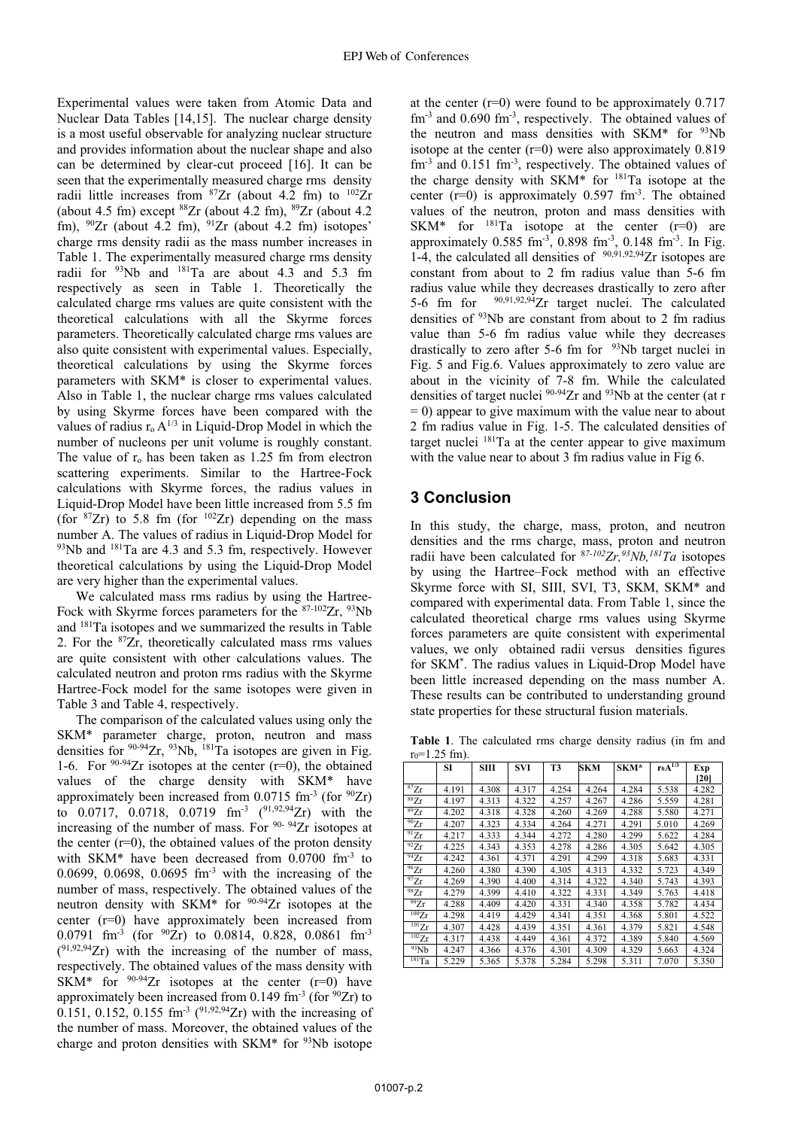Experimental values were taken from Atomic Data and Nuclear Data Tables [14,15]. The nuclear charge density is a most useful observable for analyzing nuclear structure and provides information about the nuclear shape and also can be determined by clear-cut proceed [16]. It can be seen that the experimentally measured charge rms density radii little increases from  ${}^{87}Zr$  (about 4.2 fm) to  ${}^{102}Zr$ (about 4.5 fm) except <sup>88</sup>Zr (about 4.2 fm), <sup>89</sup>Zr (about 4.2 fm),  $90Zr$  (about 4.2 fm),  $91Zr$  (about 4.2 fm) isotopes' charge rms density radii as the mass number increases in Table 1. The experimentally measured charge rms density radii for <sup>93</sup>Nb and <sup>181</sup>Ta are about 4.3 and 5.3 fm respectively as seen in Table 1. Theoretically the calculated charge rms values are quite consistent with the theoretical calculations with all the Skyrme forces parameters. Theoretically calculated charge rms values are also quite consistent with experimental values. Especially, theoretical calculations by using the Skyrme forces parameters with SKM\* is closer to experimental values. Also in Table 1, the nuclear charge rms values calculated by using Skyrme forces have been compared with the values of radius  $r_0 A^{1/3}$  in Liquid-Drop Model in which the number of nucleons per unit volume is roughly constant. The value of  $r_0$  has been taken as 1.25 fm from electron scattering experiments. Similar to the Hartree-Fock calculations with Skyrme forces, the radius values in Liquid-Drop Model have been little increased from 5.5 fm (for  ${}^{87}Zr$ ) to 5.8 fm (for  ${}^{102}Zr$ ) depending on the mass number A. The values of radius in Liquid-Drop Model for <sup>93</sup>Nb and <sup>181</sup>Ta are 4.3 and 5.3 fm, respectively. However theoretical calculations by using the Liquid-Drop Model are very higher than the experimental values.

We calculated mass rms radius by using the Hartree-Fock with Skyrme forces parameters for the 87-102Zr, 93Nb and <sup>181</sup>Ta isotopes and we summarized the results in Table 2. For the  $87Zr$ , theoretically calculated mass rms values are quite consistent with other calculations values. The calculated neutron and proton rms radius with the Skyrme Hartree-Fock model for the same isotopes were given in Table 3 and Table 4, respectively.

The comparison of the calculated values using only the SKM\* parameter charge, proton, neutron and mass densities for  $90-94$ Zr,  $93$ Nb,  $181$ Ta isotopes are given in Fig. 1-6. For  $90-94$ Zr isotopes at the center (r=0), the obtained values of the charge density with SKM\* have approximately been increased from  $0.0715$  fm<sup>-3</sup> (for  $90Zr$ ) to 0.0717, 0.0718, 0.0719 fm<sup>-3</sup> (<sup>91,92,94</sup>Zr) with the increasing of the number of mass. For 90-94Zr isotopes at the center  $(r=0)$ , the obtained values of the proton density with SKM\* have been decreased from  $0.0700$  fm<sup>-3</sup> to 0.0699, 0.0698, 0.0695  $\text{fm}^{-3}$  with the increasing of the number of mass, respectively. The obtained values of the neutron density with SKM\* for <sup>90-94</sup>Zr isotopes at the center (r=0) have approximately been increased from 0.0791 fm<sup>-3</sup> (for  $90Zr$ ) to 0.0814, 0.828, 0.0861 fm<sup>-3</sup>  $(^{91,92,94}Zr)$  with the increasing of the number of mass, respectively. The obtained values of the mass density with SKM\* for  $90-94Zr$  isotopes at the center  $(r=0)$  have approximately been increased from 0.149 fm<sup>-3</sup> (for  $^{90}Zr$ ) to 0.151, 0.152, 0.155 fm<sup>-3</sup> ( $91,92,94$ Zr) with the increasing of the number of mass. Moreover, the obtained values of the charge and proton densities with SKM<sup>\*</sup> for  $93$ Nb isotope

at the center  $(r=0)$  were found to be approximately 0.717  $\text{fm}^{-3}$  and 0.690  $\text{fm}^{-3}$ , respectively. The obtained values of the neutron and mass densities with SKM\* for <sup>93</sup>Nb isotope at the center  $(r=0)$  were also approximately 0.819  $\text{fm}^{-3}$  and 0.151  $\text{fm}^{-3}$ , respectively. The obtained values of the charge density with SKM<sup>\*</sup> for <sup>181</sup>Ta isotope at the center  $(r=0)$  is approximately 0.597 fm<sup>-3</sup>. The obtained values of the neutron, proton and mass densities with SKM\* for  $^{181}$ Ta isotope at the center (r=0) are approximately 0.585 fm<sup>-3</sup>, 0.898 fm<sup>-3</sup>, 0.148 fm<sup>-3</sup>. In Fig. 1-4, the calculated all densities of  $90,91,92,94$ Zr isotopes are constant from about to 2 fm radius value than 5-6 fm radius value while they decreases drastically to zero after 5-6 fm for  $90,91,92,94$  zr target nuclei. The calculated densities of <sup>93</sup>Nb are constant from about to 2 fm radius value than 5-6 fm radius value while they decreases drastically to zero after 5-6 fm for  $93$ Nb target nuclei in Fig. 5 and Fig.6. Values approximately to zero value are about in the vicinity of 7-8 fm. While the calculated densities of target nuclei  $90-94$  Zr and  $93$ Nb at the center (at r  $= 0$ ) appear to give maximum with the value near to about 2 fm radius value in Fig. 1-5. The calculated densities of target nuclei <sup>181</sup>Ta at the center appear to give maximum with the value near to about 3 fm radius value in Fig 6.

#### 3 Conclusion

In this study, the charge, mass, proton, and neutron densities and the rms charge, mass, proton and neutron radii have been calculated for  $^{87-102}Zr, ^{93}Nb, ^{181}Ta$  isotopes by using the Hartree–Fock method with an effective Skyrme force with SI, SIII, SVI, T3, SKM, SKM\* and compared with experimental data. From Table 1, since the calculated theoretical charge rms values using Skyrme forces parameters are quite consistent with experimental values, we only obtained radii versus densities figures for SKM<sup>\*</sup>. The radius values in Liquid-Drop Model have been little increased depending on the mass number A. These results can be contributed to understanding ground state properties for these structural fusion materials.

Table 1. The calculated rms charge density radius (in fm and  $r_0 = 1.25$  fm).

|                      | SI    | <b>SIII</b> | <b>SVI</b> | T <sub>3</sub> | <b>SKM</b> | SKM*  | $r_0A^{1/3}$ | Exp   |
|----------------------|-------|-------------|------------|----------------|------------|-------|--------------|-------|
|                      |       |             |            |                |            |       |              | [20]  |
| 87Zr                 | 4.191 | 4.308       | 4.317      | 4.254          | 4.264      | 4.284 | 5.538        | 4.282 |
| 88Zr                 | 4.197 | 4.313       | 4.322      | 4.257          | 4.267      | 4.286 | 5.559        | 4.281 |
| 89Zr                 | 4.202 | 4.318       | 4.328      | 4.260          | 4.269      | 4.288 | 5.580        | 4.271 |
| 90Zr                 | 4.207 | 4.323       | 4.334      | 4.264          | 4.271      | 4.291 | 5.010        | 4.269 |
| 91Zr                 | 4.217 | 4.333       | 4.344      | 4.272          | 4.280      | 4.299 | 5.622        | 4.284 |
| $\overline{92}Zr$    | 4.225 | 4.343       | 4.353      | 4.278          | 4.286      | 4.305 | 5.642        | 4.305 |
| $\overline{^{94}Zr}$ | 4.242 | 4.361       | 4.371      | 4.291          | 4.299      | 4.318 | 5.683        | 4.331 |
| 96Zr                 | 4.260 | 4.380       | 4.390      | 4.305          | 4.313      | 4.332 | 5.723        | 4.349 |
| 97Zr                 | 4.269 | 4.390       | 4.400      | 4.314          | 4.322      | 4.340 | 5.743        | 4.393 |
| 987r                 | 4.279 | 4.399       | 4.410      | 4.322          | 4.331      | 4.349 | 5.763        | 4.418 |
| 99Zr                 | 4.288 | 4.409       | 4.420      | 4.331          | 4.340      | 4.358 | 5.782        | 4.434 |
| 100Zr                | 4.298 | 4.419       | 4.429      | 4.341          | 4.351      | 4.368 | 5.801        | 4.522 |
| $^{101}Zr$           | 4.307 | 4.428       | 4.439      | 4.351          | 4.361      | 4.379 | 5.821        | 4.548 |
| $102$ <sub>Zr</sub>  | 4.317 | 4.438       | 4.449      | 4.361          | 4.372      | 4.389 | 5.840        | 4.569 |
| 93Nb                 | 4.247 | 4.366       | 4.376      | 4.301          | 4.309      | 4.329 | 5.663        | 4.324 |
| $181$ Ta             | 5.229 | 5.365       | 5.378      | 5.284          | 5.298      | 5.311 | 7.070        | 5.350 |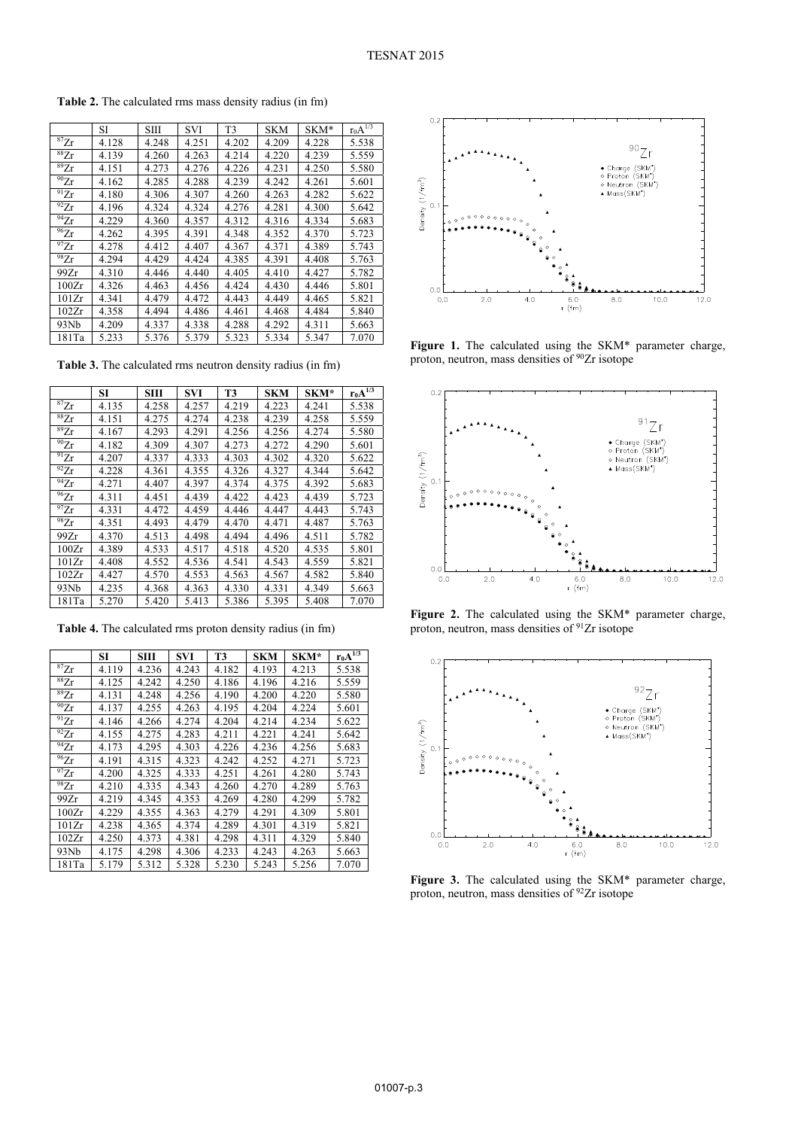|                      | SI    | <b>SIII</b> | SVI   | T3    | <b>SKM</b> | SKM*  | $I_0A^{1/3}$ |
|----------------------|-------|-------------|-------|-------|------------|-------|--------------|
| ${}^{87}Zr$          | 4.128 | 4.248       | 4.251 | 4.202 | 4.209      | 4.228 | 5.538        |
| ${}^{88}\mathrm{Zr}$ | 4.139 | 4.260       | 4.263 | 4.214 | 4.220      | 4.239 | 5.559        |
| 89Zr                 | 4.151 | 4.273       | 4.276 | 4.226 | 4.231      | 4.250 | 5.580        |
| $^{90}Zr$            | 4.162 | 4.285       | 4.288 | 4.239 | 4.242      | 4.261 | 5.601        |
| 91Zr                 | 4.180 | 4.306       | 4.307 | 4.260 | 4.263      | 4.282 | 5.622        |
| $^{92}Zr$            | 4.196 | 4.324       | 4.324 | 4.276 | 4.281      | 4.300 | 5.642        |
| $\overline{94}Zr$    | 4.229 | 4.360       | 4.357 | 4.312 | 4.316      | 4.334 | 5.683        |
| 96Zr                 | 4.262 | 4.395       | 4.391 | 4.348 | 4.352      | 4.370 | 5.723        |
| $^{97}Zr$            | 4.278 | 4.412       | 4.407 | 4.367 | 4.371      | 4.389 | 5.743        |
| $^{98}Zr$            | 4.294 | 4.429       | 4.424 | 4.385 | 4.391      | 4.408 | 5.763        |
| 99Zr                 | 4.310 | 4.446       | 4.440 | 4.405 | 4.410      | 4.427 | 5.782        |
| 100Zr                | 4.326 | 4.463       | 4.456 | 4.424 | 4.430      | 4.446 | 5.801        |
| 101Zr                | 4.341 | 4.479       | 4.472 | 4.443 | 4.449      | 4.465 | 5.821        |
| 102Zr                | 4.358 | 4.494       | 4.486 | 4.461 | 4.468      | 4.484 | 5.840        |
| 93Nb                 | 4.209 | 4.337       | 4.338 | 4.288 | 4.292      | 4.311 | 5.663        |
| 181Ta                | 5.233 | 5.376       | 5.379 | 5.323 | 5.334      | 5.347 | 7.070        |

Table 2. The calculated rms mass density radius (in fm)

Table 3. The calculated rms neutron density radius (in fm)

|             | SI    | $\mathbf{S}\mathbf{H}\mathbf{I}$ | <b>SVI</b> | T3    | <b>SKM</b> | SKM*  | $r_0A^{1/3}$ |
|-------------|-------|----------------------------------|------------|-------|------------|-------|--------------|
| ${}^{87}Zr$ | 4.135 | 4.258                            | 4.257      | 4.219 | 4.223      | 4.241 | 5.538        |
| ${}^{88}Zr$ | 4.151 | 4.275                            | 4.274      | 4.238 | 4.239      | 4.258 | 5.559        |
| $^{89}Zr$   | 4.167 | 4.293                            | 4.291      | 4.256 | 4.256      | 4.274 | 5.580        |
| $^{90}Zr$   | 4.182 | 4.309                            | 4.307      | 4.273 | 4.272      | 4.290 | 5.601        |
| $^{91}Zr$   | 4.207 | 4.337                            | 4.333      | 4.303 | 4.302      | 4.320 | 5.622        |
| $^{92}Zr$   | 4.228 | 4.361                            | 4.355      | 4.326 | 4.327      | 4.344 | 5.642        |
| $^{94}Zr$   | 4.271 | 4.407                            | 4.397      | 4.374 | 4.375      | 4.392 | 5.683        |
| $^{96}Zr$   | 4.311 | 4.451                            | 4.439      | 4.422 | 4.423      | 4.439 | 5.723        |
| $^{97}Zr$   | 4.331 | 4.472                            | 4.459      | 4.446 | 4.447      | 4.443 | 5.743        |
| 98Zr        | 4.351 | 4.493                            | 4.479      | 4.470 | 4.471      | 4.487 | 5.763        |
| 99Zr        | 4.370 | 4.513                            | 4.498      | 4.494 | 4.496      | 4.511 | 5.782        |
| 100Zr       | 4.389 | 4.533                            | 4.517      | 4.518 | 4.520      | 4.535 | 5.801        |
| 101Zr       | 4.408 | 4.552                            | 4.536      | 4.541 | 4.543      | 4.559 | 5.821        |
| 102Zr       | 4.427 | 4.570                            | 4.553      | 4.563 | 4.567      | 4.582 | 5.840        |
| 93Nb        | 4.235 | 4.368                            | 4.363      | 4.330 | 4.331      | 4.349 | 5.663        |
| 181Ta       | 5.270 | 5.420                            | 5.413      | 5.386 | 5.395      | 5.408 | 7.070        |

Table 4. The calculated rms proton density radius (in fm)

|             | SI    | SШ    | SVI   | T3    | <b>SKM</b> | SKM*  | $r_0A^{1/3}$ |
|-------------|-------|-------|-------|-------|------------|-------|--------------|
| ${}^{87}Zr$ | 4.119 | 4.236 | 4.243 | 4.182 | 4.193      | 4.213 | 5.538        |
| 88Zr        | 4.125 | 4.242 | 4.250 | 4.186 | 4.196      | 4.216 | 5.559        |
| ${}^{89}Zr$ | 4.131 | 4.248 | 4.256 | 4.190 | 4.200      | 4.220 | 5.580        |
| 90Zr        | 4.137 | 4.255 | 4.263 | 4.195 | 4.204      | 4.224 | 5.601        |
| $^{91}Zr$   | 4.146 | 4.266 | 4.274 | 4.204 | 4.214      | 4.234 | 5.622        |
| $^{92}Zr$   | 4.155 | 4.275 | 4.283 | 4.211 | 4.221      | 4.241 | 5.642        |
| 94Zr        | 4.173 | 4.295 | 4.303 | 4.226 | 4.236      | 4.256 | 5.683        |
| $^{96}Zr$   | 4.191 | 4.315 | 4.323 | 4.242 | 4.252      | 4.271 | 5.723        |
| $^{97}Zr$   | 4.200 | 4.325 | 4.333 | 4.251 | 4.261      | 4.280 | 5.743        |
| $^{98}Zr$   | 4.210 | 4.335 | 4.343 | 4.260 | 4.270      | 4.289 | 5.763        |
| 99Zr        | 4.219 | 4.345 | 4.353 | 4.269 | 4.280      | 4.299 | 5.782        |
| 100Zr       | 4.229 | 4.355 | 4.363 | 4.279 | 4.291      | 4.309 | 5.801        |
| 101Zr       | 4.238 | 4.365 | 4.374 | 4.289 | 4.301      | 4.319 | 5.821        |
| 102Zr       | 4.250 | 4.373 | 4.381 | 4.298 | 4.311      | 4.329 | 5.840        |
| 93Nb        | 4.175 | 4.298 | 4.306 | 4.233 | 4.243      | 4.263 | 5.663        |
| 181Ta       | 5.179 | 5.312 | 5.328 | 5.230 | 5.243      | 5.256 | 7.070        |



Figure 1. The calculated using the SKM\* parameter charge, proton, neutron, mass densities of  $90Zr$  isotope



Figure 2. The calculated using the SKM\* parameter charge, proton, neutron, mass densities of <sup>91</sup>Zr isotope



Figure 3. The calculated using the SKM\* parameter charge, proton, neutron, mass densities of  $92Zr$  isotope